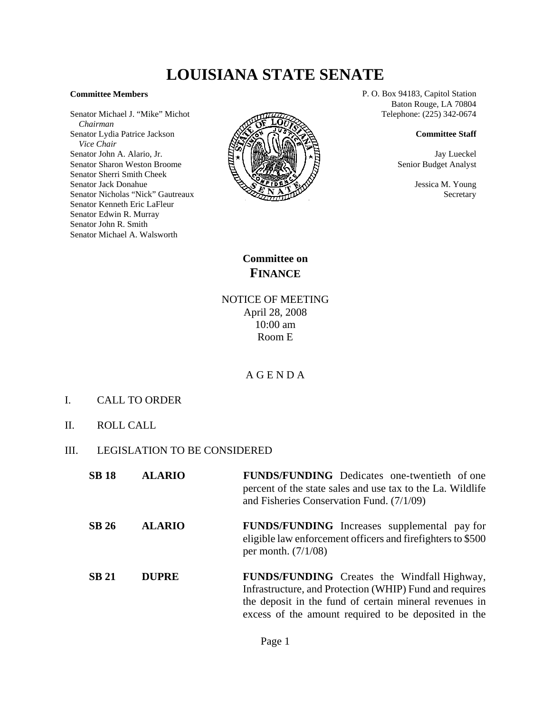# **LOUISIANA STATE SENATE**

#### **Committee Members**

Senator Michael J. "Mike" Michot  *Chairman* Senator Lydia Patrice Jackson  *Vice Chair* Senator John A. Alario, Jr. Senator Sharon Weston Broome Senator Sherri Smith Cheek Senator Jack Donahue Senator Nicholas "Nick" Gautreaux Senator Kenneth Eric LaFleur Senator Edwin R. Murray Senator John R. Smith Senator Michael A. Walsworth



P. O. Box 94183, Capitol Station Baton Rouge, LA 70804 Telephone: (225) 342-0674

#### **Committee Staff**

Jay Lueckel Senior Budget Analyst

> Jessica M. Young Secretary

**Committee on FINANCE**

## NOTICE OF MEETING April 28, 2008 10:00 am Room E

### A G E N D A

- I. CALL TO ORDER
- II. ROLL CALL
- III. LEGISLATION TO BE CONSIDERED

| <b>SB 18</b> | <b>ALARIO</b> | <b>FUNDS/FUNDING</b> Dedicates one-twentieth of one<br>percent of the state sales and use tax to the La. Wildlife<br>and Fisheries Conservation Fund. (7/1/09)                                                                  |
|--------------|---------------|---------------------------------------------------------------------------------------------------------------------------------------------------------------------------------------------------------------------------------|
| <b>SB 26</b> | <b>ALARIO</b> | <b>FUNDS/FUNDING</b> Increases supplemental pay for<br>eligible law enforcement officers and firefighters to \$500<br>per month. $(7/1/08)$                                                                                     |
| <b>SB 21</b> | <b>DUPRE</b>  | <b>FUNDS/FUNDING</b> Creates the Windfall Highway,<br>Infrastructure, and Protection (WHIP) Fund and requires<br>the deposit in the fund of certain mineral revenues in<br>excess of the amount required to be deposited in the |